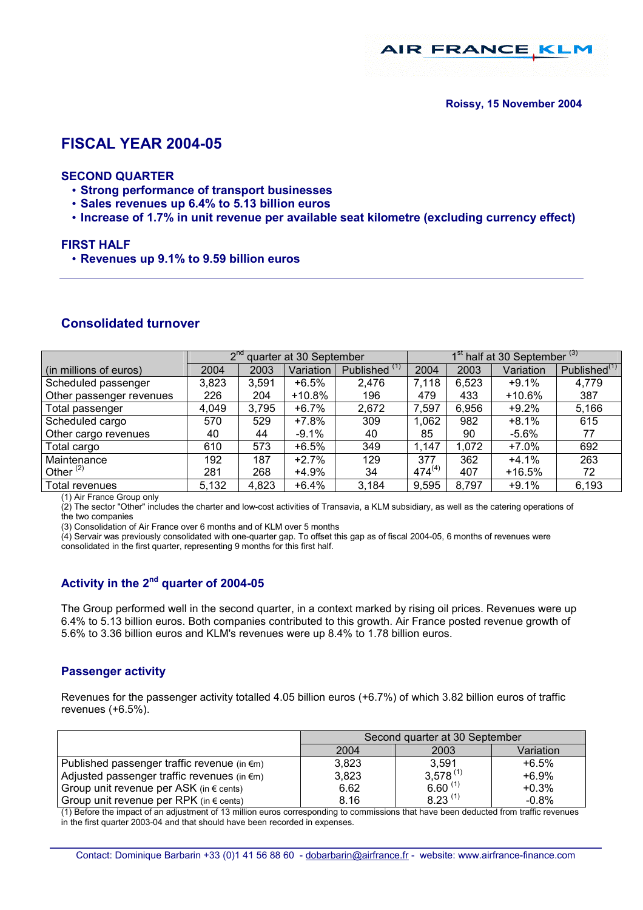**AIR FRANCE KL** 

# **FISCAL YEAR 2004-05**

#### **SECOND QUARTER**

- **Strong performance of transport businesses**
- **Sales revenues up 6.4% to 5.13 billion euros**
- **Increase of 1.7% in unit revenue per available seat kilometre (excluding currency effect)**

#### **FIRST HALF**

• **Revenues up 9.1% to 9.59 billion euros** 

## **Consolidated turnover**

|                          | $2^{n\alpha}$<br>quarter at 30 September |       |           | 1 <sup>st</sup> half at 30 September <sup>(3)</sup> |             |       |           |                          |
|--------------------------|------------------------------------------|-------|-----------|-----------------------------------------------------|-------------|-------|-----------|--------------------------|
| (in millions of euros)   | 2004                                     | 2003  | Variation | Published <sup>(1)</sup>                            | 2004        | 2003  | Variation | Published <sup>(1)</sup> |
| Scheduled passenger      | 3,823                                    | 3,591 | $+6.5%$   | 2,476                                               | 7,118       | 6,523 | $+9.1%$   | 4,779                    |
| Other passenger revenues | 226                                      | 204   | $+10.8%$  | 196                                                 | 479         | 433   | +10.6%    | 387                      |
| Total passenger          | 4,049                                    | 3,795 | $+6.7%$   | 2,672                                               | 7,597       | 6,956 | $+9.2%$   | 5,166                    |
| Scheduled cargo          | 570                                      | 529   | $+7.8%$   | 309                                                 | 1,062       | 982   | $+8.1%$   | 615                      |
| Other cargo revenues     | 40                                       | 44    | $-9.1%$   | 40                                                  | 85          | 90    | $-5.6\%$  | 77                       |
| Total cargo              | 610                                      | 573   | $+6.5%$   | 349                                                 | 1,147       | 1,072 | $+7.0%$   | 692                      |
| Maintenance              | 192                                      | 187   | $+2.7%$   | 129                                                 | 377         | 362   | $+4.1%$   | 263                      |
| Other $(2)$              | 281                                      | 268   | $+4.9%$   | 34                                                  | $474^{(4)}$ | 407   | $+16.5%$  | 72                       |
| Total revenues           | 5,132                                    | 4,823 | $+6.4%$   | 3,184                                               | 9,595       | 8,797 | $+9.1%$   | 6,193                    |

(1) Air France Group only

(2) The sector "Other" includes the charter and low-cost activities of Transavia, a KLM subsidiary, as well as the catering operations of the two companies

(3) Consolidation of Air France over 6 months and of KLM over 5 months

(4) Servair was previously consolidated with one-quarter gap. To offset this gap as of fiscal 2004-05, 6 months of revenues were consolidated in the first quarter, representing 9 months for this first half.

# **Activity in the 2nd quarter of 2004-05**

The Group performed well in the second quarter, in a context marked by rising oil prices. Revenues were up 6.4% to 5.13 billion euros. Both companies contributed to this growth. Air France posted revenue growth of 5.6% to 3.36 billion euros and KLM's revenues were up 8.4% to 1.78 billion euros.

#### **Passenger activity**

Revenues for the passenger activity totalled 4.05 billion euros (+6.7%) of which 3.82 billion euros of traffic revenues (+6.5%).

|                                                       | Second quarter at 30 September |               |           |  |
|-------------------------------------------------------|--------------------------------|---------------|-----------|--|
|                                                       | 2004                           | 2003          | Variation |  |
| Published passenger traffic revenue (in $\epsilon$ m) | 3.823                          | 3.591         | $+6.5%$   |  |
| Adjusted passenger traffic revenues (in $\notin$ m)   | 3.823                          | $3.578^{(1)}$ | $+6.9%$   |  |
| Group unit revenue per ASK (in $\epsilon$ cents)      | 6.62                           | $6.60^{(1)}$  | $+0.3%$   |  |
| Group unit revenue per RPK (in $\epsilon$ cents)      | 8.16                           | $8.23^{(1)}$  | $-0.8%$   |  |

(1) Before the impact of an adjustment of 13 million euros corresponding to commissions that have been deducted from traffic revenues in the first quarter 2003-04 and that should have been recorded in expenses.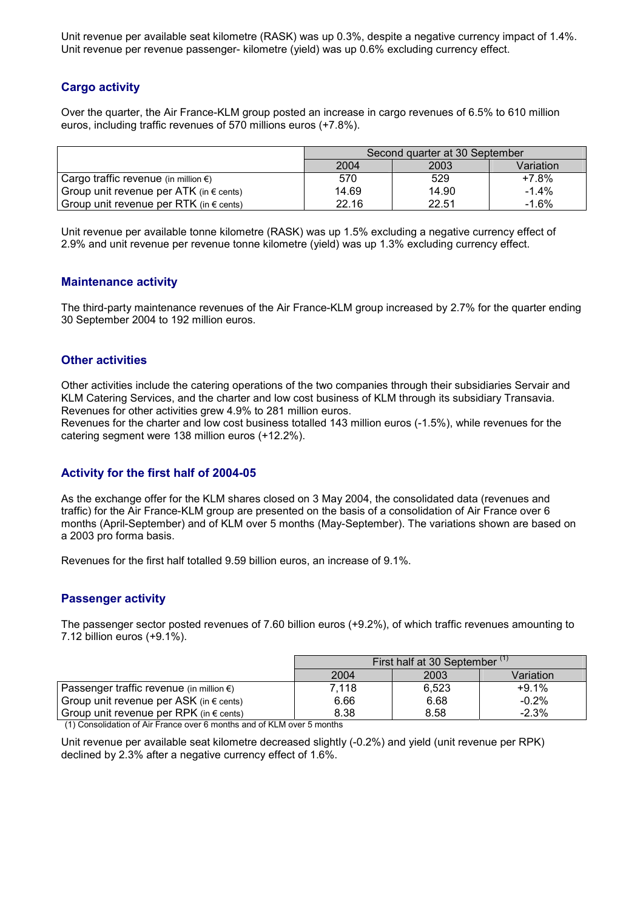Unit revenue per available seat kilometre (RASK) was up 0.3%, despite a negative currency impact of 1.4%. Unit revenue per revenue passenger- kilometre (yield) was up 0.6% excluding currency effect.

## **Cargo activity**

Over the quarter, the Air France-KLM group posted an increase in cargo revenues of 6.5% to 610 million euros, including traffic revenues of 570 millions euros (+7.8%).

|                                                  | Second quarter at 30 September |       |           |  |
|--------------------------------------------------|--------------------------------|-------|-----------|--|
|                                                  | 2004                           | 2003  | Variation |  |
| Cargo traffic revenue (in million $\epsilon$ )   | 570                            | 529   | $+7.8%$   |  |
| Group unit revenue per ATK (in $\epsilon$ cents) | 14.69                          | 14.90 | $-1.4\%$  |  |
| Group unit revenue per RTK (in $\epsilon$ cents) | 22.16                          | 22.51 | $-1.6%$   |  |

Unit revenue per available tonne kilometre (RASK) was up 1.5% excluding a negative currency effect of 2.9% and unit revenue per revenue tonne kilometre (yield) was up 1.3% excluding currency effect.

## **Maintenance activity**

The third-party maintenance revenues of the Air France-KLM group increased by 2.7% for the quarter ending 30 September 2004 to 192 million euros.

## **Other activities**

Other activities include the catering operations of the two companies through their subsidiaries Servair and KLM Catering Services, and the charter and low cost business of KLM through its subsidiary Transavia. Revenues for other activities grew 4.9% to 281 million euros.

Revenues for the charter and low cost business totalled 143 million euros (-1.5%), while revenues for the catering segment were 138 million euros (+12.2%).

## **Activity for the first half of 2004-05**

As the exchange offer for the KLM shares closed on 3 May 2004, the consolidated data (revenues and traffic) for the Air France-KLM group are presented on the basis of a consolidation of Air France over 6 months (April-September) and of KLM over 5 months (May-September). The variations shown are based on a 2003 pro forma basis.

Revenues for the first half totalled 9.59 billion euros, an increase of 9.1%.

#### **Passenger activity**

The passenger sector posted revenues of 7.60 billion euros (+9.2%), of which traffic revenues amounting to 7.12 billion euros (+9.1%).

|                                                    | First half at 30 September (1) |       |           |  |
|----------------------------------------------------|--------------------------------|-------|-----------|--|
|                                                    | 2004                           | 2003  | Variation |  |
| Passenger traffic revenue (in million $\epsilon$ ) | 7.118                          | 6.523 | $+9.1%$   |  |
| Group unit revenue per ASK (in $\epsilon$ cents)   | 6.66                           | 6.68  | $-0.2\%$  |  |
| Group unit revenue per RPK (in $\epsilon$ cents)   | 8.38                           | 8.58  | $-2.3%$   |  |

(1) Consolidation of Air France over 6 months and of KLM over 5 months

Unit revenue per available seat kilometre decreased slightly (-0.2%) and yield (unit revenue per RPK) declined by 2.3% after a negative currency effect of 1.6%.